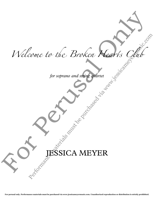V Velcome to the Droken **Hearts** Cour Welcome to the Broken Rearts Club<br>for soprano and shine grana Prome to the Broken Hearts Chub

*for soprano and string quartet*

# A MEYER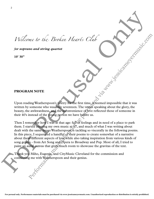Welcome to the Broken Hearts Club

*for soprano and string quartet*

**10' 30"**

## **PROGRAM NOTE**

Upon reading Weatherspoon's poetry for the first time, it seemed impossible that it was written by someone who was only seventeen. The verses speaking about the glory, the beauty, the awkwardness, and the inconvenience of love reflected those of someone in their 40's instead of the young person we have before us.

Then I remember how I was at that age: full of feelings and in need of a place to park them. I started creating my own music at  $\frac{1}{27}$ , and much of what I was writing about dealt with the same issues Weatherspoon is tackling so viscerally in the following poems. In this piece, I sequenced a handful of their poems to create somewhat of a narrative about these different aspects of love while also taking inspiration from various kinds of song genres - from Art Song and Opera to Broadway and Pop. Most of all, I tried to paint an aural canvas that gives much room to showcase the gravitas of the text. Wellcome to the Browken Heart's Club<br>for soprano and string quartet<br>to 30°<br>for soprano and string quartet<br>to 30°<br>for soprano and string quartet<br>to 30°<br> $\frac{1}{2}$ <br>PROGRAM NOTE<br>Upon radiag Weather<br>noon, where the string is f me Lo the Broken Heart's Club<br>
no and string quarter<br>
no and string quarter<br>
NM NOTE<br>
ting Weutherspoon's poetry for the first time, because impossible that it was<br>
someone who was been seen to be expected those of someon

 Thank you Miho, Eugenia, and CityMusic Cleveland for the commission and connecting me with Weatherspoon and their genius.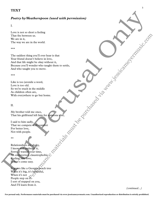## **TEXT**

### *Poetry by Weatherspoon (used with permission)*

#### I.

 Love is not so short a feeling That fits between us. We are in it, The way we are in the world.

#### \*\*\*

The saddest thing you'll ever hear is that Your friend doesn't believe in love, And that life might be okay without it, Because you'll wonder who taught them to settle, And who taught you to move. From the real of the section of the real of the real of the real of the real of the real of the real of the real of the real of the real of the real of the real of the real of the real of the real of the real of the real comes in the world.<br>
Simply will ever heart is that<br>
simply will ever heart is that<br>
we had not be been independent it them to such a<br>
will as a word,<br>
in the middle<br>
of the particular must be purchased via when<br>
in the m

#### \*\*\*

Like is too juvenile a word, Love is too old. So we're stuck in the middle As children often are, With everywhere to go but home.

#### II.

 My brother told me once, That his girlfriend left him for someone else,

 I said to him sadly, That we compete with comfort For better love, Not with people.

#### \*\*

Relationships are shaky, I know and embrace it, Sorry, I wasted your time, An extroverted, claustrophobic Feeling, like love, It don't come easy.

 It grows like a Georgia peach tree When it's big, it's beautiful, When it's not People step on it. I sort of stepped on you, And I'll learn from it.

 *(continued...)*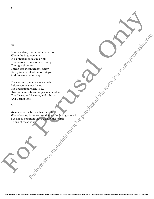#### III.

Love is a damp corner of a dark room Where the bugs come in. It is potential on ice in a rink That no one seems to have brought The right shoes for. I mean it is inconvenient, funny, Poorly timed, full of uneven steps, And unwanted company. II.<br>
Line is a damp corner of a distribution<br>
Which the happ corner of a distribution<br>
The regular decoration is also the boundary of the corner of a distribution<br>
The regular decoration is a control of the core and the b Performance of a dark recommendial three materials must be purchased via when  $\frac{1}{2}$  where the material three interests experience interests and interests experience interests and interests and interests are all the st

I'm seventeen, so chew my words Before you swallow them, But understand when I say, However clumsily and in juvenile tender,<br>That I care, and it's nice, and it hurts, That I care, and it's nice, and it hurts, And I call it love.

\*\*

Welcome to the broken hearts club Where healing is not so rare that we don't sing about it, But not so common that we know the words To any of these songs.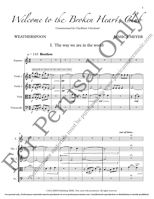Welcome to the Broken Hearts Clu

*Commissioned by CityMusic Cleveland*

## WEATHERSPOON

JESSICA MEYER

5

## I. The way we are in the world



©2022 JMM Publishing (BMI). Text used with permission. All rights reserved.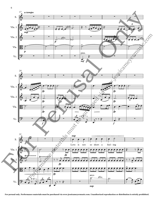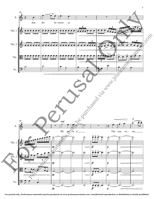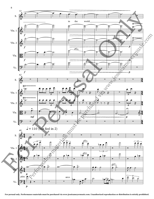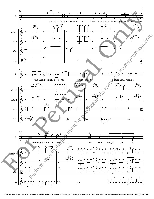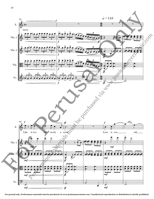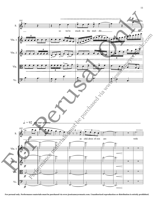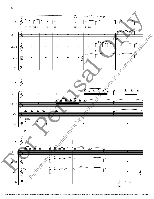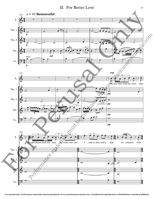

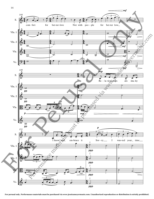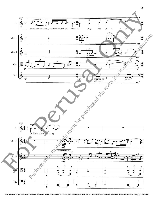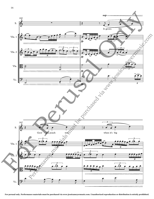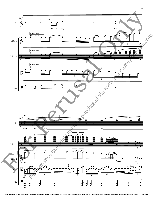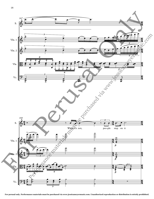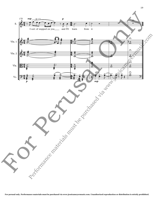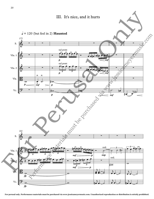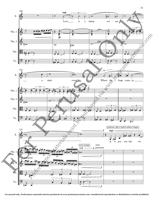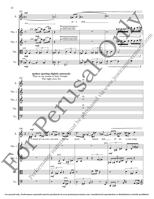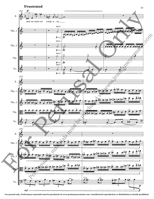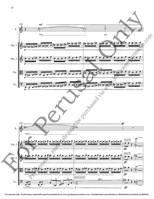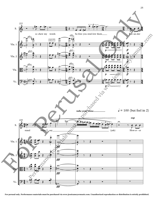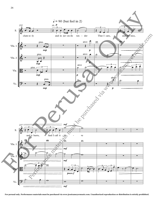